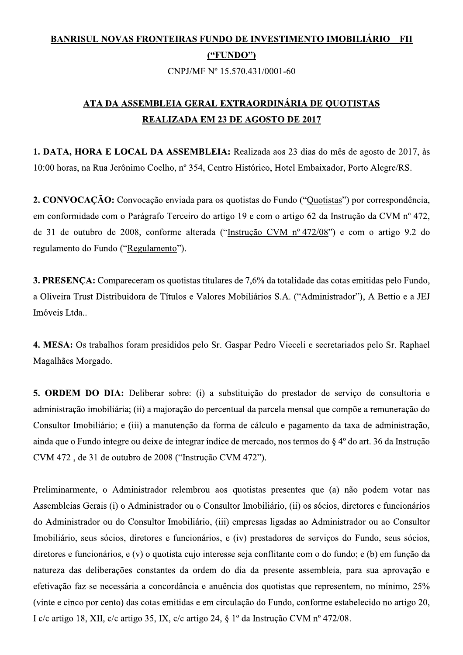## **BANRISUL NOVAS FRONTEIRAS FUNDO DE INVESTIMENTO IMOBILIÁRIO – FII**  $($ "FUNDO" $)$

CNPJ/MF Nº 15.570.431/0001-60

## ATA DA ASSEMBLEIA GERAL EXTRAORDINÁRIA DE QUOTISTAS **REALIZADA EM 23 DE AGOSTO DE 2017**

1. DATA, HORA E LOCAL DA ASSEMBLEIA: Realizada aos 23 dias do mês de agosto de 2017, às 10:00 horas, na Rua Jerônimo Coelho, nº 354, Centro Histórico, Hotel Embaixador, Porto Alegre/RS.

2. CONVOCAÇÃO: Convocação enviada para os quotistas do Fundo ("Quotistas") por correspondência, em conformidade com o Parágrafo Terceiro do artigo 19 e com o artigo 62 da Instrução da CVM nº 472, de 31 de outubro de 2008, conforme alterada ("Instrução CVM nº 472/08") e com o artigo 9.2 do regulamento do Fundo ("Regulamento").

3. PRESENÇA: Compareceram os quotistas titulares de 7,6% da totalidade das cotas emitidas pelo Fundo, a Oliveira Trust Distribuidora de Títulos e Valores Mobiliários S.A. ("Administrador"), A Bettio e a JEJ Imóveis Ltda...

4. MESA: Os trabalhos foram presididos pelo Sr. Gaspar Pedro Vieceli e secretariados pelo Sr. Raphael Magalhães Morgado.

5. ORDEM DO DIA: Deliberar sobre: (i) a substituição do prestador de serviço de consultoria e administração imobiliária; (ii) a majoração do percentual da parcela mensal que compõe a remuneração do Consultor Imobiliário; e (iii) a manutenção da forma de cálculo e pagamento da taxa de administração, ainda que o Fundo integre ou deixe de integrar índice de mercado, nos termos do § 4º do art. 36 da Instrução CVM 472, de 31 de outubro de 2008 ("Instrução CVM 472").

Preliminarmente, o Administrador relembrou aos quotistas presentes que (a) não podem votar nas Assembleias Gerais (i) o Administrador ou o Consultor Imobiliário, (ii) os sócios, diretores e funcionários do Administrador ou do Consultor Imobiliário, (iii) empresas ligadas ao Administrador ou ao Consultor Imobiliário, seus sócios, diretores e funcionários, e (iv) prestadores de serviços do Fundo, seus sócios, diretores e funcionários, e (v) o quotista cujo interesse seja conflitante com o do fundo; e (b) em função da natureza das deliberações constantes da ordem do dia da presente assembleia, para sua aprovação e efetivação faz-se necessária a concordância e anuência dos quotistas que representem, no mínimo, 25% (vinte e cinco por cento) das cotas emitidas e em circulação do Fundo, conforme estabelecido no artigo 20, I c/c artigo 18, XII, c/c artigo 35, IX, c/c artigo 24, § 1º da Instrução CVM nº 472/08.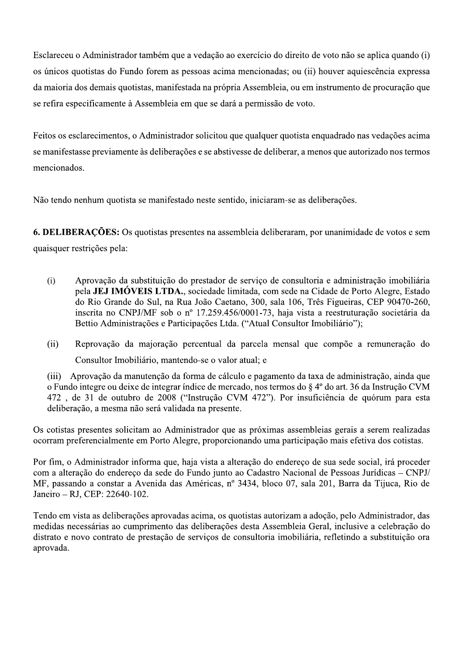Esclareceu o Administrador também que a vedação ao exercício do direito de voto não se aplica quando (i) os únicos quotistas do Fundo forem as pessoas acima mencionadas; ou (ii) houver aquiescência expressa da maioria dos demais quotistas, manifestada na própria Assembleia, ou em instrumento de procuração que se refira especificamente à Assembleia em que se dará a permissão de voto.

Feitos os esclarecimentos, o Administrador solicitou que qualquer quotista enquadrado nas vedações acima se manifestasse previamente às deliberações e se abstivesse de deliberar, a menos que autorizado nos termos mencionados.

Não tendo nenhum quotista se manifestado neste sentido, iniciaram-se as deliberações.

**6. DELIBERAÇÕES:** Os quotistas presentes na assembleia deliberaram, por unanimidade de votos e sem quaisquer restrições pela:

- $(i)$ Aprovação da substituição do prestador de serviço de consultoria e administração imobiliária pela JEJ IMÓVEIS LTDA., sociedade limitada, com sede na Cidade de Porto Alegre, Estado do Rio Grande do Sul, na Rua João Caetano, 300, sala 106, Três Figueiras, CEP 90470-260, inscrita no CNPJ/MF sob o nº 17.259.456/0001-73, haja vista a reestruturação societária da Bettio Administrações e Participações Ltda. ("Atual Consultor Imobiliário");
- $(ii)$ Reprovação da majoração percentual da parcela mensal que compõe a remuneração do Consultor Imobiliário, mantendo-se o valor atual; e

 $(iii)$ Aprovação da manutenção da forma de cálculo e pagamento da taxa de administração, ainda que o Fundo integre ou deixe de integrar índice de mercado, nos termos do § 4º do art. 36 da Instrução CVM 472, de 31 de outubro de 2008 ("Instrução CVM 472"). Por insuficiência de quórum para esta deliberação, a mesma não será validada na presente.

Os cotistas presentes solicitam ao Administrador que as próximas assembleias gerais a serem realizadas ocorram preferencialmente em Porto Alegre, proporcionando uma participação mais efetiva dos cotistas.

Por fim, o Administrador informa que, haja vista a alteração do endereço de sua sede social, irá proceder com a alteração do endereço da sede do Fundo junto ao Cadastro Nacional de Pessoas Jurídicas - CNPJ/ MF, passando a constar a Avenida das Américas, nº 3434, bloco 07, sala 201, Barra da Tijuca, Rio de Janeiro - RJ, CEP: 22640-102.

Tendo em vista as deliberações aprovadas acima, os quotistas autorizam a adoção, pelo Administrador, das medidas necessárias ao cumprimento das deliberações desta Assembleia Geral, inclusive a celebração do distrato e novo contrato de prestação de serviços de consultoria imobiliária, refletindo a substituição ora aprovada.